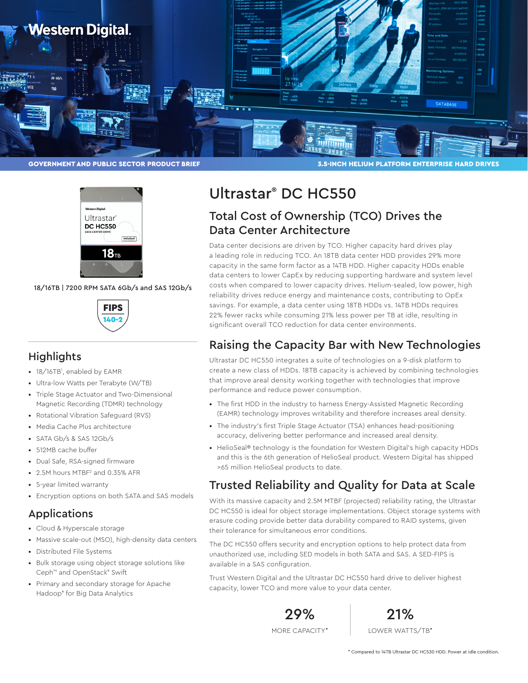



18/16TB | 7200 RPM SATA 6Gb/s and SAS 12Gb/s



## **Highlights**

- 18/16TB<sup>1</sup>, enabled by EAMR
- Ultra-low Watts per Terabyte (W/TB)
- Triple Stage Actuator and Two-Dimensional Magnetic Recording (TDMR) technology
- Rotational Vibration Safeguard (RVS)
- Media Cache Plus architecture
- SATA Gb/s & SAS 12Gb/s
- 512MB cache buffer
- Dual Safe, RSA-signed firmware
- 2.5M hours MTBF<sup>2</sup> and 0.35% AFR
- 5-year limited warranty
- Encryption options on both SATA and SAS models

### Applications

- Cloud & Hyperscale storage
- Massive scale-out (MSO), high-density data centers • Distributed File Systems
- Bulk storage using object storage solutions like Ceph™ and OpenStack® Swift
- Primary and secondary storage for Apache Hadoop® for Big Data Analytics

# Ultrastar® DC HC550

## Total Cost of Ownership (TCO) Drives the Data Center Architecture

Data center decisions are driven by TCO. Higher capacity hard drives play a leading role in reducing TCO. An 18TB data center HDD provides 29% more capacity in the same form factor as a 14TB HDD. Higher capacity HDDs enable data centers to lower CapEx by reducing supporting hardware and system level costs when compared to lower capacity drives. Helium-sealed, low power, high reliability drives reduce energy and maintenance costs, contributing to OpEx savings. For example, a data center using 18TB HDDs vs. 14TB HDDs requires 22% fewer racks while consuming 21% less power per TB at idle, resulting in significant overall TCO reduction for data center environments.

## Raising the Capacity Bar with New Technologies

Ultrastar DC HC550 integrates a suite of technologies on a 9-disk platform to create a new class of HDDs. 18TB capacity is achieved by combining technologies that improve areal density working together with technologies that improve performance and reduce power consumption.

- The first HDD in the industry to harness Energy-Assisted Magnetic Recording (EAMR) technology improves writability and therefore increases areal density.
- The industry's first Triple Stage Actuator (TSA) enhances head-positioning accuracy, delivering better performance and increased areal density.
- HelioSeal® technology is the foundation for Western Digital's high capacity HDDs and this is the 6th generation of HelioSeal product. Western Digital has shipped >65 million HelioSeal products to date.

## Trusted Reliability and Quality for Data at Scale

With its massive capacity and 2.5M MTBF (projected) reliability rating, the Ultrastar DC HC550 is ideal for object storage implementations. Object storage systems with erasure coding provide better data durability compared to RAID systems, given their tolerance for simultaneous error conditions.

The DC HC550 offers security and encryption options to help protect data from unauthorized use, including SED models in both SATA and SAS. A SED-FIPS is available in a SAS configuration.

Trust Western Digital and the Ultrastar DC HC550 hard drive to deliver highest capacity, lower TCO and more value to your data center.

> 29% MORE CAPACITY<sup>\*</sup>



LOWER WATTS/TB\*